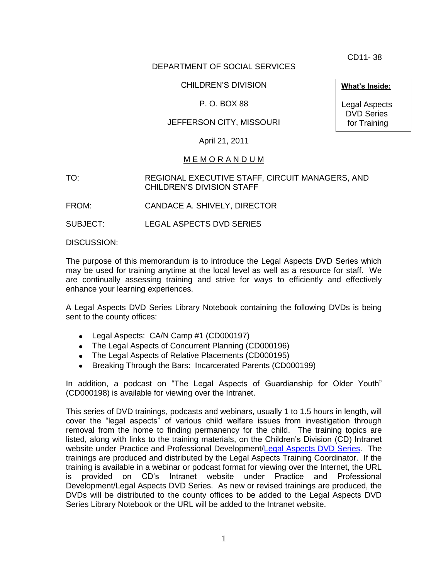CD11- 38

# DEPARTMENT OF SOCIAL SERVICES

# CHILDREN'S DIVISION

# P. O. BOX 88

# JEFFERSON CITY, MISSOURI

April 21, 2011

## M E M O R A N D U M

TO: REGIONAL EXECUTIVE STAFF, CIRCUIT MANAGERS, AND CHILDREN'S DIVISION STAFF

FROM: CANDACE A. SHIVELY, DIRECTOR

SUBJECT: LEGAL ASPECTS DVD SERIES

DISCUSSION:

The purpose of this memorandum is to introduce the Legal Aspects DVD Series which may be used for training anytime at the local level as well as a resource for staff. We are continually assessing training and strive for ways to efficiently and effectively enhance your learning experiences.

A Legal Aspects DVD Series Library Notebook containing the following DVDs is being sent to the county offices:

- Legal Aspects: CA/N Camp #1 (CD000197)
- The Legal Aspects of Concurrent Planning (CD000196)
- The Legal Aspects of Relative Placements (CD000195)
- Breaking Through the Bars: Incarcerated Parents (CD000199)

In addition, a podcast on "The Legal Aspects of Guardianship for Older Youth" (CD000198) is available for viewing over the Intranet.

This series of DVD trainings, podcasts and webinars, usually 1 to 1.5 hours in length, will cover the "legal aspects" of various child welfare issues from investigation through removal from the home to finding permanency for the child. The training topics are listed, along with links to the training materials, on the Children's Division (CD) Intranet website under Practice and Professional Development[/Legal Aspects DVD Series.](http://dssweb/cs/training/dvd/index.htm) The trainings are produced and distributed by the Legal Aspects Training Coordinator. If the training is available in a webinar or podcast format for viewing over the Internet, the URL is provided on CD's Intranet website under Practice and Professional Development/Legal Aspects DVD Series. As new or revised trainings are produced, the DVDs will be distributed to the county offices to be added to the Legal Aspects DVD Series Library Notebook or the URL will be added to the Intranet website.

1

**What's Inside:**

Legal Aspects DVD Series for Training